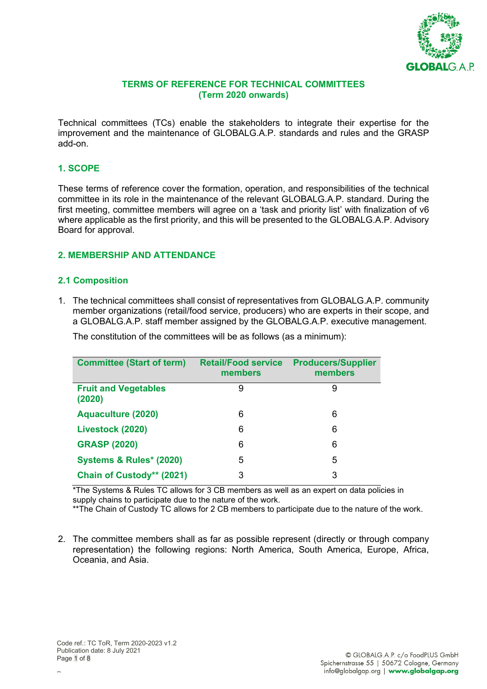

#### **TERMS OF REFERENCE FOR TECHNICAL COMMITTEES (Term 2020 onwards)**

Technical committees (TCs) enable the stakeholders to integrate their expertise for the improvement and the maintenance of GLOBALG.A.P. standards and rules and the GRASP add-on.

#### **1. SCOPE**

These terms of reference cover the formation, operation, and responsibilities of the technical committee in its role in the maintenance of the relevant GLOBALG.A.P. standard. During the first meeting, committee members will agree on a 'task and priority list' with finalization of v6 where applicable as the first priority, and this will be presented to the GLOBALG.A.P. Advisory Board for approval.

### **2. MEMBERSHIP AND ATTENDANCE**

### **2.1 Composition**

1. The technical committees shall consist of representatives from GLOBALG.A.P. community member organizations (retail/food service, producers) who are experts in their scope, and a GLOBALG.A.P. staff member assigned by the GLOBALG.A.P. executive management.

| <b>Committee (Start of term)</b>      | <b>Retail/Food service</b><br>members | <b>Producers/Supplier</b><br>members |
|---------------------------------------|---------------------------------------|--------------------------------------|
| <b>Fruit and Vegetables</b><br>(2020) | 9                                     | 9                                    |
| <b>Aquaculture (2020)</b>             | 6                                     | 6                                    |
| Livestock (2020)                      | 6                                     | 6                                    |
| <b>GRASP (2020)</b>                   | 6                                     | 6                                    |
| Systems & Rules* (2020)               | 5                                     | 5                                    |
| Chain of Custody** (2021)             | 3                                     | 3                                    |

The constitution of the committees will be as follows (as a minimum):

\*The Systems & Rules TC allows for 3 CB members as well as an expert on data policies in supply chains to participate due to the nature of the work.

\*\*The Chain of Custody TC allows for 2 CB members to participate due to the nature of the work.

2. The committee members shall as far as possible represent (directly or through company representation) the following regions: North America, South America, Europe, Africa, Oceania, and Asia.

P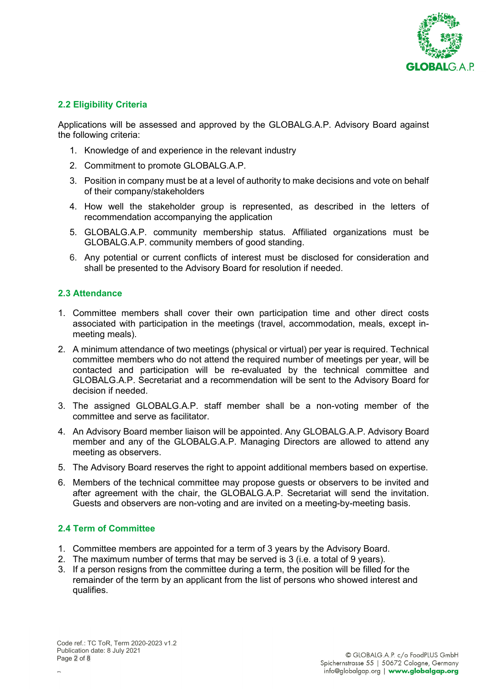

### **2.2 Eligibility Criteria**

Applications will be assessed and approved by the GLOBALG.A.P. Advisory Board against the following criteria:

- 1. Knowledge of and experience in the relevant industry
- 2. Commitment to promote GLOBALG.A.P.
- 3. Position in company must be at a level of authority to make decisions and vote on behalf of their company/stakeholders
- 4. How well the stakeholder group is represented, as described in the letters of recommendation accompanying the application
- 5. GLOBALG.A.P. community membership status. Affiliated organizations must be GLOBALG.A.P. community members of good standing.
- 6. Any potential or current conflicts of interest must be disclosed for consideration and shall be presented to the Advisory Board for resolution if needed.

#### **2.3 Attendance**

- 1. Committee members shall cover their own participation time and other direct costs associated with participation in the meetings (travel, accommodation, meals, except inmeeting meals).
- 2. A minimum attendance of two meetings (physical or virtual) per year is required. Technical committee members who do not attend the required number of meetings per year, will be contacted and participation will be re-evaluated by the technical committee and GLOBALG.A.P. Secretariat and a recommendation will be sent to the Advisory Board for decision if needed.
- 3. The assigned GLOBALG.A.P. staff member shall be a non-voting member of the committee and serve as facilitator.
- 4. An Advisory Board member liaison will be appointed. Any GLOBALG.A.P. Advisory Board member and any of the GLOBALG.A.P. Managing Directors are allowed to attend any meeting as observers.
- 5. The Advisory Board reserves the right to appoint additional members based on expertise.
- 6. Members of the technical committee may propose guests or observers to be invited and after agreement with the chair, the GLOBALG.A.P. Secretariat will send the invitation. Guests and observers are non-voting and are invited on a meeting-by-meeting basis.

#### **2.4 Term of Committee**

- 1. Committee members are appointed for a term of 3 years by the Advisory Board.
- 2. The maximum number of terms that may be served is 3 (i.e. a total of 9 years).
- 3. If a person resigns from the committee during a term, the position will be filled for the remainder of the term by an applicant from the list of persons who showed interest and qualifies.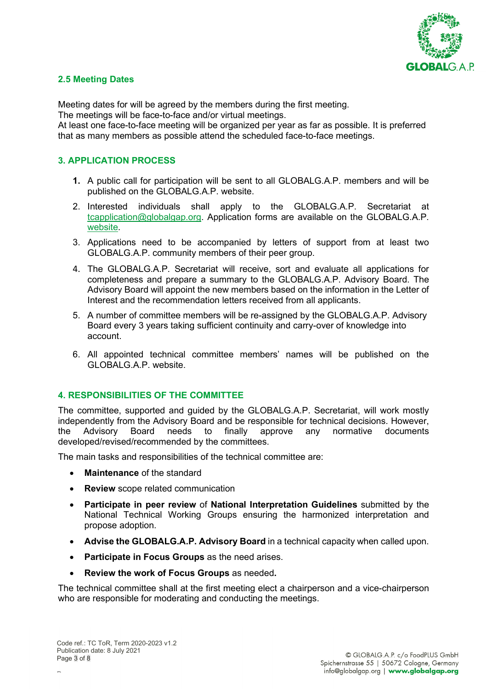

### **2.5 Meeting Dates**

Meeting dates for will be agreed by the members during the first meeting.

The meetings will be face-to-face and/or virtual meetings.

At least one face-to-face meeting will be organized per year as far as possible. It is preferred that as many members as possible attend the scheduled face-to-face meetings.

### **3. APPLICATION PROCESS**

- **1.** A public call for participation will be sent to all GLOBALG.A.P. members and will be published on the GLOBALG.A.P. website.
- 2. Interested individuals shall apply to the GLOBALG.A.P. Secretariat at [tcapplication@globalgap.org.](mailto:tcapplication@globalgap.org) Application forms are available on the GLOBALG.A.P. [website.](https://www.globalgap.org/uk_en/who-we-are/governance/committees/tc-applications/applications-2020/tc-application-form-2020)
- 3. Applications need to be accompanied by letters of support from at least two GLOBALG.A.P. community members of their peer group.
- 4. The GLOBALG.A.P. Secretariat will receive, sort and evaluate all applications for completeness and prepare a summary to the GLOBALG.A.P. Advisory Board. The Advisory Board will appoint the new members based on the information in the Letter of Interest and the recommendation letters received from all applicants.
- 5. A number of committee members will be re-assigned by the GLOBALG.A.P. Advisory Board every 3 years taking sufficient continuity and carry-over of knowledge into account.
- 6. All appointed technical committee members' names will be published on the GLOBALG.A.P. website.

### **4. RESPONSIBILITIES OF THE COMMITTEE**

The committee, supported and guided by the GLOBALG.A.P. Secretariat, will work mostly independently from the Advisory Board and be responsible for technical decisions. However, the Advisory Board needs to finally approve any normative documents developed/revised/recommended by the committees.

The main tasks and responsibilities of the technical committee are:

- **Maintenance** of the standard
- **Review** scope related communication
- **Participate in peer review** of **National Interpretation Guidelines** submitted by the National Technical Working Groups ensuring the harmonized interpretation and propose adoption.
- **Advise the GLOBALG.A.P. Advisory Board** in a technical capacity when called upon.
- **Participate in Focus Groups** as the need arises.
- **Review the work of Focus Groups** as needed**.**

The technical committee shall at the first meeting elect a chairperson and a vice-chairperson who are responsible for moderating and conducting the meetings.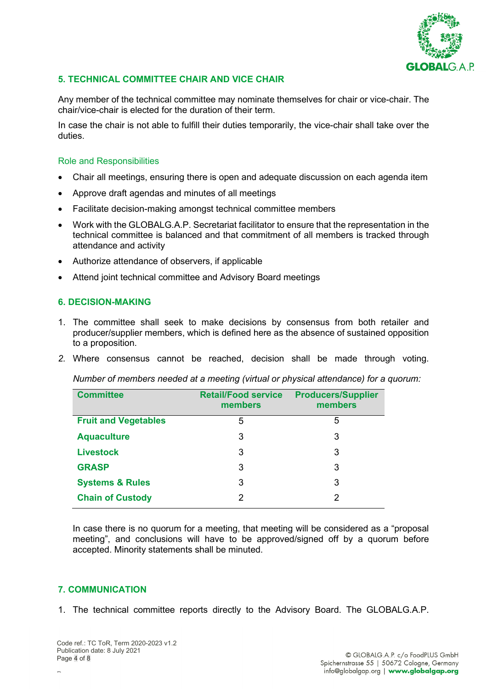

### **5. TECHNICAL COMMITTEE CHAIR AND VICE CHAIR**

Any member of the technical committee may nominate themselves for chair or vice-chair. The chair/vice-chair is elected for the duration of their term.

In case the chair is not able to fulfill their duties temporarily, the vice-chair shall take over the duties.

#### Role and Responsibilities

- Chair all meetings, ensuring there is open and adequate discussion on each agenda item
- Approve draft agendas and minutes of all meetings
- Facilitate decision-making amongst technical committee members
- Work with the GLOBALG.A.P. Secretariat facilitator to ensure that the representation in the technical committee is balanced and that commitment of all members is tracked through attendance and activity
- Authorize attendance of observers, if applicable
- Attend joint technical committee and Advisory Board meetings

### **6. DECISION-MAKING**

- 1. The committee shall seek to make decisions by consensus from both retailer and producer/supplier members, which is defined here as the absence of sustained opposition to a proposition.
- *2.* Where consensus cannot be reached, decision shall be made through voting.

*Number of members needed at a meeting (virtual or physical attendance) for a quorum:*

| <b>Committee</b>            | <b>Retail/Food service</b><br>members | <b>Producers/Supplier</b><br>members |
|-----------------------------|---------------------------------------|--------------------------------------|
| <b>Fruit and Vegetables</b> | 5                                     | 5                                    |
| <b>Aquaculture</b>          | 3                                     | 3                                    |
| <b>Livestock</b>            | 3                                     | 3                                    |
| <b>GRASP</b>                | 3                                     | 3                                    |
| <b>Systems &amp; Rules</b>  | 3                                     | 3                                    |
| <b>Chain of Custody</b>     | 2                                     | 2                                    |

In case there is no quorum for a meeting, that meeting will be considered as a "proposal meeting", and conclusions will have to be approved/signed off by a quorum before accepted. Minority statements shall be minuted.

### **7. COMMUNICATION**

1. The technical committee reports directly to the Advisory Board. The GLOBALG.A.P.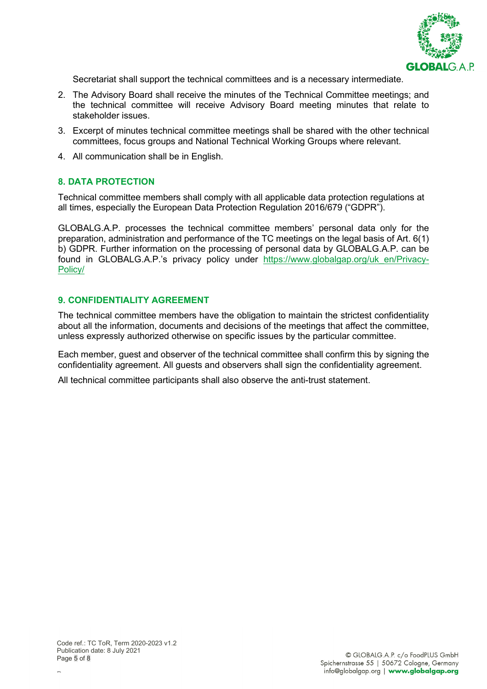

Secretariat shall support the technical committees and is a necessary intermediate.

- 2. The Advisory Board shall receive the minutes of the Technical Committee meetings; and the technical committee will receive Advisory Board meeting minutes that relate to stakeholder issues.
- 3. Excerpt of minutes technical committee meetings shall be shared with the other technical committees, focus groups and National Technical Working Groups where relevant.
- 4. All communication shall be in English.

#### **8. DATA PROTECTION**

Technical committee members shall comply with all applicable data protection regulations at all times, especially the European Data Protection Regulation 2016/679 ("GDPR").

GLOBALG.A.P. processes the technical committee members' personal data only for the preparation, administration and performance of the TC meetings on the legal basis of Art. 6(1) b) GDPR. Further information on the processing of personal data by GLOBALG.A.P. can be found in GLOBALG.A.P.'s privacy policy under [https://www.globalgap.org/uk\\_en/Privacy-](https://www.globalgap.org/uk_en/Privacy-Policy/)[Policy/](https://www.globalgap.org/uk_en/Privacy-Policy/)

#### **9. CONFIDENTIALITY AGREEMENT**

The technical committee members have the obligation to maintain the strictest confidentiality about all the information, documents and decisions of the meetings that affect the committee, unless expressly authorized otherwise on specific issues by the particular committee.

Each member, guest and observer of the technical committee shall confirm this by signing the confidentiality agreement. All guests and observers shall sign the confidentiality agreement.

All technical committee participants shall also observe the anti-trust statement.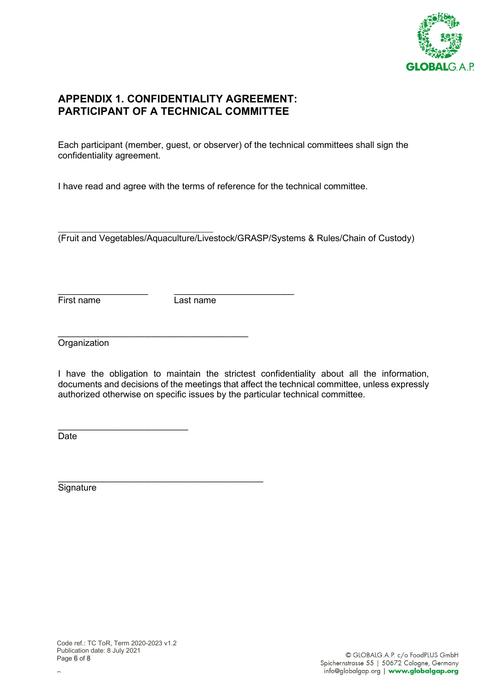

# **APPENDIX 1. CONFIDENTIALITY AGREEMENT: PARTICIPANT OF A TECHNICAL COMMITTEE**

Each participant (member, guest, or observer) of the technical committees shall sign the confidentiality agreement.

I have read and agree with the terms of reference for the technical committee.

\_\_\_\_\_\_\_\_\_\_\_\_\_\_\_\_\_\_\_\_\_\_\_\_\_\_\_\_\_\_\_ (Fruit and Vegetables/Aquaculture/Livestock/GRASP/Systems & Rules/Chain of Custody)

First name Last name

\_\_\_\_\_\_\_\_\_\_\_\_\_\_\_\_\_\_ \_\_\_\_\_\_\_\_\_\_\_\_\_\_\_\_\_\_\_\_\_\_\_\_

 $\overline{\phantom{a}}$  , where the contract of the contract of the contract of the contract of the contract of the contract of the contract of the contract of the contract of the contract of the contract of the contract of the contr **Organization** 

I have the obligation to maintain the strictest confidentiality about all the information, documents and decisions of the meetings that affect the technical committee, unless expressly authorized otherwise on specific issues by the particular technical committee.

\_\_\_\_\_\_\_\_\_\_\_\_\_\_\_\_\_\_\_\_\_\_\_\_\_\_ **Date** 

 $\frac{1}{2}$  , and the set of the set of the set of the set of the set of the set of the set of the set of the set of the set of the set of the set of the set of the set of the set of the set of the set of the set of the set **Signature** 

P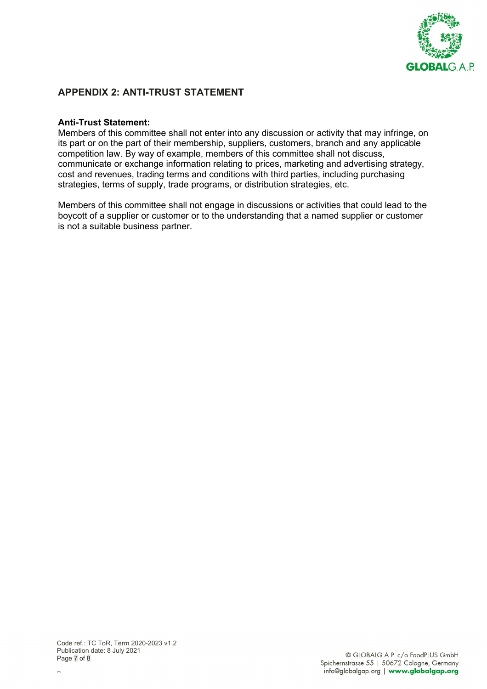

## **APPENDIX 2: ANTI-TRUST STATEMENT**

#### **Anti-Trust Statement:**

Members of this committee shall not enter into any discussion or activity that may infringe, on its part or on the part of their membership, suppliers, customers, branch and any applicable competition law. By way of example, members of this committee shall not discuss, communicate or exchange information relating to prices, marketing and advertising strategy, cost and revenues, trading terms and conditions with third parties, including purchasing strategies, terms of supply, trade programs, or distribution strategies, etc.

Members of this committee shall not engage in discussions or activities that could lead to the boycott of a supplier or customer or to the understanding that a named supplier or customer is not a suitable business partner.